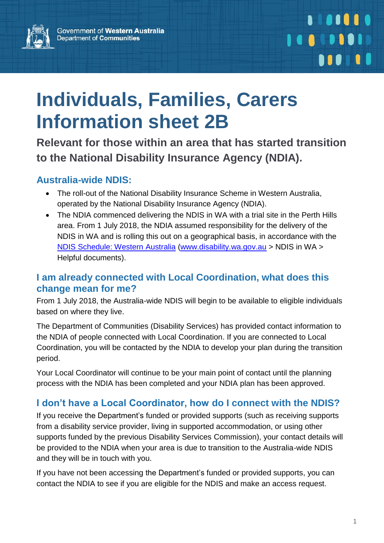

# **Individuals, Families, Carers Information sheet 2B**

**Relevant for those within an area that has started transition to the National Disability Insurance Agency (NDIA).**

#### **Australia-wide NDIS:**

- The roll-out of the National Disability Insurance Scheme in Western Australia, operated by the National Disability Insurance Agency (NDIA).
- The NDIA commenced delivering the NDIS in WA with a trial site in the Perth Hills area. From 1 July 2018, the NDIA assumed responsibility for the delivery of the NDIS in WA and is rolling this out on a geographical basis, in accordance with the [NDIS Schedule: Western](http://www.disability.wa.gov.au/wa-ndis/wa-ndis/helpful-documents/) Australia [\(www.disability.wa.gov.au](http://www.disability.wa.gov.au/) > NDIS in WA > Helpful documents).

#### **[I am already connected with Local Coordination, what does this](https://www.ndis.gov.au/about-us/our-sites/WA/qanda.html)  [change mean for me?](https://www.ndis.gov.au/about-us/our-sites/WA/qanda.html)**

From 1 July 2018, the Australia-wide NDIS will begin to be available to eligible individuals based on where they live.

The Department of Communities (Disability Services) has provided contact information to the NDIA of people connected with Local Coordination. If you are connected to Local Coordination, you will be contacted by the NDIA to develop your plan during the transition period.

Your Local Coordinator will continue to be your main point of contact until the planning process with the NDIA has been completed and your NDIA plan has been approved.

# **I don't have a Local Coordinator, how do I connect with the NDIS?**

If you receive the Department's funded or provided supports (such as receiving supports from a disability service provider, living in supported accommodation, or using other supports funded by the previous Disability Services Commission), your contact details will be provided to the NDIA when your area is due to transition to the Australia-wide NDIS and they will be in touch with you.

If you have not been accessing the Department's funded or provided supports, you can contact the NDIA to see if you are eligible for the NDIS and make an access request.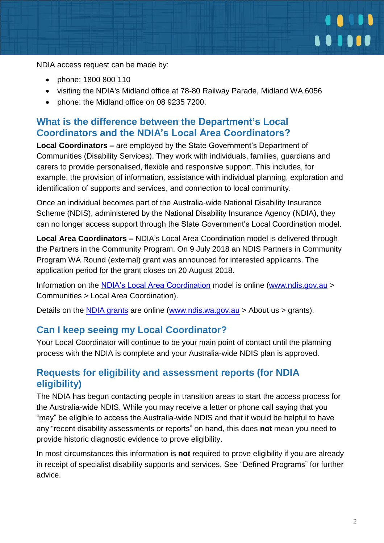

NDIA access request can be made by:

- phone: 1800 800 110
- visiting the NDIA's Midland office at 78-80 Railway Parade, Midland WA 6056
- phone: the Midland office on 08 9235 7200.

# **What is the difference between the Department's Local Coordinators and the NDIA's Local Area Coordinators?**

**Local Coordinators –** are employed by the State Government's Department of Communities (Disability Services). They work with individuals, families, guardians and carers to provide personalised, flexible and responsive support. This includes, for example, the provision of information, assistance with individual planning, exploration and identification of supports and services, and connection to local community.

Once an individual becomes part of the Australia-wide National Disability Insurance Scheme (NDIS), administered by the National Disability Insurance Agency (NDIA), they can no longer access support through the State Government's Local Coordination model.

**Local Area Coordinators –** NDIA's Local Area Coordination model is delivered through the Partners in the Community Program. On 9 July 2018 an NDIS Partners in Community Program WA Round (external) grant was announced for interested applicants. The application period for the grant closes on 20 August 2018.

Information on the [NDIA's Local Area Coordination](https://www.ndis.gov.au/communities/local-area-coordination#state) model is online [\(www.ndis.gov.au](http://www.ndis.gov.au/) > Communities > Local Area Coordination).

Details on the [NDIA grants](https://www.ndis.gov.au/about-us/grants.html) are online [\(www.ndis.wa.gov.au](http://www.ndis.wa.gov.au/) > About us > grants).

#### **Can I keep seeing my Local Coordinator?**

Your Local Coordinator will continue to be your main point of contact until the planning process with the NDIA is complete and your Australia-wide NDIS plan is approved.

#### **Requests for eligibility and assessment reports (for NDIA eligibility)**

The NDIA has begun contacting people in transition areas to start the access process for the Australia-wide NDIS. While you may receive a letter or phone call saying that you "may" be eligible to access the Australia-wide NDIS and that it would be helpful to have any "recent disability assessments or reports" on hand, this does **not** mean you need to provide historic diagnostic evidence to prove eligibility.

In most circumstances this information is **not** required to prove eligibility if you are already in receipt of specialist disability supports and services. See "Defined Programs" for further advice.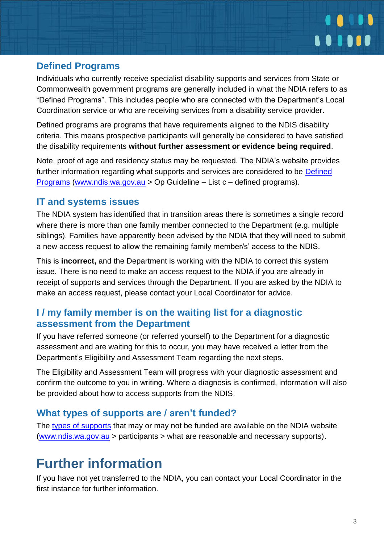

#### **Defined Programs**

Individuals who currently receive specialist disability supports and services from State or Commonwealth government programs are generally included in what the NDIA refers to as "Defined Programs". This includes people who are connected with the Department's Local Coordination service or who are receiving services from a disability service provider.

Defined programs are programs that have requirements aligned to the NDIS disability criteria. This means prospective participants will generally be considered to have satisfied the disability requirements **without further assessment or evidence being required**.

Note, proof of age and residency status may be requested. The NDIA's website provides further information regarding what supports and services are considered to be [Defined](https://www.ndis.gov.au/operational-guideline/access/list-c.html)  [Programs](https://www.ndis.gov.au/operational-guideline/access/list-c.html) [\(www.ndis.wa.gov.au](http://www.ndis.wa.gov.au/) > Op Guideline – List c – defined programs).

# **IT and systems issues**

The NDIA system has identified that in transition areas there is sometimes a single record where there is more than one family member connected to the Department (e.g. multiple siblings). Families have apparently been advised by the NDIA that they will need to submit a new access request to allow the remaining family member/s' access to the NDIS.

This is **incorrect,** and the Department is working with the NDIA to correct this system issue. There is no need to make an access request to the NDIA if you are already in receipt of supports and services through the Department. If you are asked by the NDIA to make an access request, please contact your Local Coordinator for advice.

# **I / my family member is on the waiting list for a diagnostic assessment from the Department**

If you have referred someone (or referred yourself) to the Department for a diagnostic assessment and are waiting for this to occur, you may have received a letter from the Department's Eligibility and Assessment Team regarding the next steps.

The Eligibility and Assessment Team will progress with your diagnostic assessment and confirm the outcome to you in writing. Where a diagnosis is confirmed, information will also be provided about how to access supports from the NDIS.

# **What types of supports are / aren't funded?**

The [types of supports](https://www.ndis.gov.au/participants/reasonable-and-necessary-supports.html) that may or may not be funded are available on the NDIA website [\(www.ndis.wa.gov.au](http://www.ndis.wa.gov.au/) > participants > what are reasonable and necessary supports).

# **Further information**

If you have not yet transferred to the NDIA, you can contact your Local Coordinator in the first instance for further information.